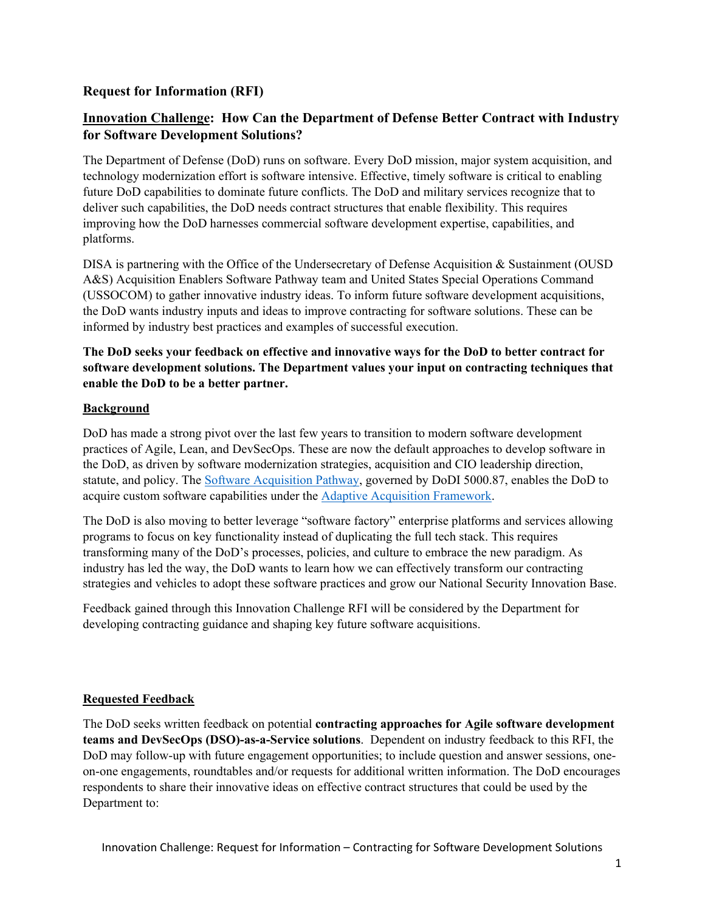## **Request for Information (RFI)**

# **Innovation Challenge: How Can the Department of Defense Better Contract with Industry for Software Development Solutions?**

The Department of Defense (DoD) runs on software. Every DoD mission, major system acquisition, and technology modernization effort is software intensive. Effective, timely software is critical to enabling future DoD capabilities to dominate future conflicts. The DoD and military services recognize that to deliver such capabilities, the DoD needs contract structures that enable flexibility. This requires improving how the DoD harnesses commercial software development expertise, capabilities, and platforms.

DISA is partnering with the Office of the Undersecretary of Defense Acquisition & Sustainment (OUSD A&S) Acquisition Enablers Software Pathway team and United States Special Operations Command (USSOCOM) to gather innovative industry ideas. To inform future software development acquisitions, the DoD wants industry inputs and ideas to improve contracting for software solutions. These can be informed by industry best practices and examples of successful execution.

### **The DoD seeks your feedback on effective and innovative ways for the DoD to better contract for software development solutions. The Department values your input on contracting techniques that enable the DoD to be a better partner.**

### **Background**

DoD has made a strong pivot over the last few years to transition to modern software development practices of Agile, Lean, and DevSecOps. These are now the default approaches to develop software in the DoD, as driven by software modernization strategies, acquisition and CIO leadership direction, statute, and policy. The [Software Acquisition Pathway,](https://aaf.dau.edu/aaf/software/) governed by DoDI 5000.87, enables the DoD to acquire custom software capabilities under the [Adaptive Acquisition Framework.](https://aaf.dau.edu/)

The DoD is also moving to better leverage "software factory" enterprise platforms and services allowing programs to focus on key functionality instead of duplicating the full tech stack. This requires transforming many of the DoD's processes, policies, and culture to embrace the new paradigm. As industry has led the way, the DoD wants to learn how we can effectively transform our contracting strategies and vehicles to adopt these software practices and grow our National Security Innovation Base.

Feedback gained through this Innovation Challenge RFI will be considered by the Department for developing contracting guidance and shaping key future software acquisitions.

#### **Requested Feedback**

The DoD seeks written feedback on potential **contracting approaches for Agile software development teams and DevSecOps (DSO)-as-a-Service solutions**. Dependent on industry feedback to this RFI, the DoD may follow-up with future engagement opportunities; to include question and answer sessions, oneon-one engagements, roundtables and/or requests for additional written information. The DoD encourages respondents to share their innovative ideas on effective contract structures that could be used by the Department to: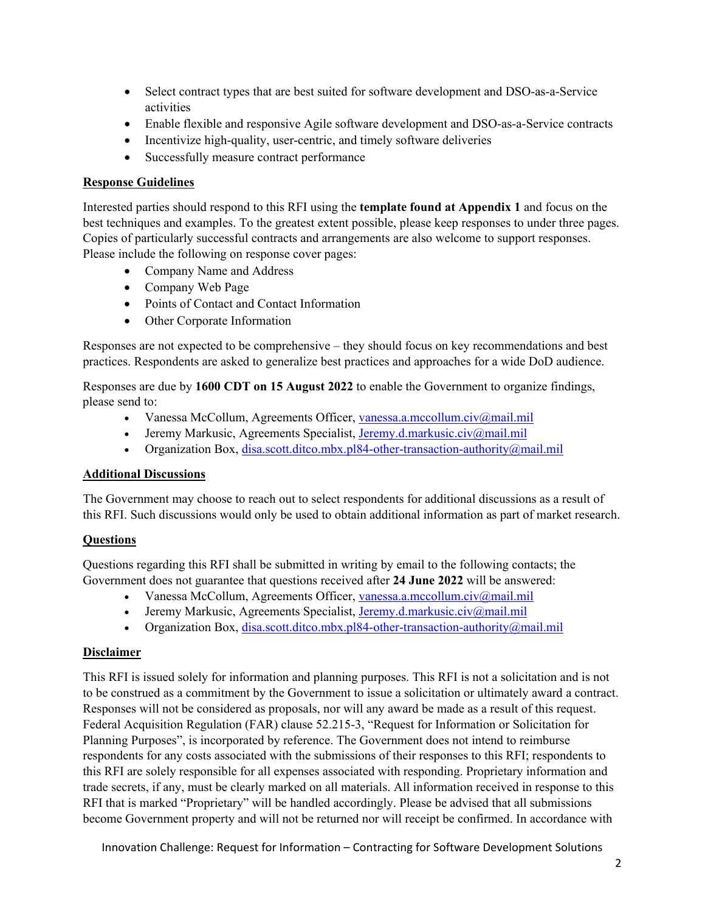- Select contract types that are best suited for software development and DSO-as-a-Service activities
- Enable flexible and responsive Agile software development and DSO-as-a-Service contracts
- Incentivize high-quality, user-centric, and timely software deliveries
- Successfully measure contract performance

#### **Response Guidelines**

Interested parties should respond to this RFI using the **template found at Appendix 1** and focus on the best techniques and examples. To the greatest extent possible, please keep responses to under three pages. Copies of particularly successful contracts and arrangements are also welcome to support responses. Please include the following on response cover pages:

- Company Name and Address
- Company Web Page
- Points of Contact and Contact Information
- Other Corporate Information

Responses are not expected to be comprehensive – they should focus on key recommendations and best practices. Respondents are asked to generalize best practices and approaches for a wide DoD audience.

Responses are due by **1600 CDT on 15 August 2022** to enable the Government to organize findings, please send to:

- Vanessa McCollum, Agreements Officer, [vanessa.a.mccollum.civ@mail.mil](mailto:vanessa.a.mccollum.civ@mail.mil)
- Jeremy Markusic, Agreements Specialist, [Jeremy.d.markusic.civ@mail.mil](mailto:Jeremy.d.markusic.civ@mail.mil)
- Organization Box, disa.scott.ditco.mbx.pl84-other-transaction-authority@mail.mil

#### **Additional Discussions**

The Government may choose to reach out to select respondents for additional discussions as a result of this RFI. Such discussions would only be used to obtain additional information as part of market research.

#### **Questions**

Questions regarding this RFI shall be submitted in writing by email to the following contacts; the Government does not guarantee that questions received after **24 June 2022** will be answered:

- Vanessa McCollum, Agreements Officer, [vanessa.a.mccollum.civ@mail.mil](mailto:vanessa.a.mccollum.civ@mail.mil)
- Jeremy Markusic, Agreements Specialist, Jeremy.d.markusic.civ $\omega$ mail.mil
- Organization Box, disa.scott.ditco.mbx.pl84-other-transaction-authority@mail.mil

#### **Disclaimer**

This RFI is issued solely for information and planning purposes. This RFI is not a solicitation and is not to be construed as a commitment by the Government to issue a solicitation or ultimately award a contract. Responses will not be considered as proposals, nor will any award be made as a result of this request. Federal Acquisition Regulation (FAR) clause 52.215-3, "Request for Information or Solicitation for Planning Purposes", is incorporated by reference. The Government does not intend to reimburse respondents for any costs associated with the submissions of their responses to this RFI; respondents to this RFI are solely responsible for all expenses associated with responding. Proprietary information and trade secrets, if any, must be clearly marked on all materials. All information received in response to this RFI that is marked "Proprietary" will be handled accordingly. Please be advised that all submissions become Government property and will not be returned nor will receipt be confirmed. In accordance with

Innovation Challenge: Request for Information – Contracting for Software Development Solutions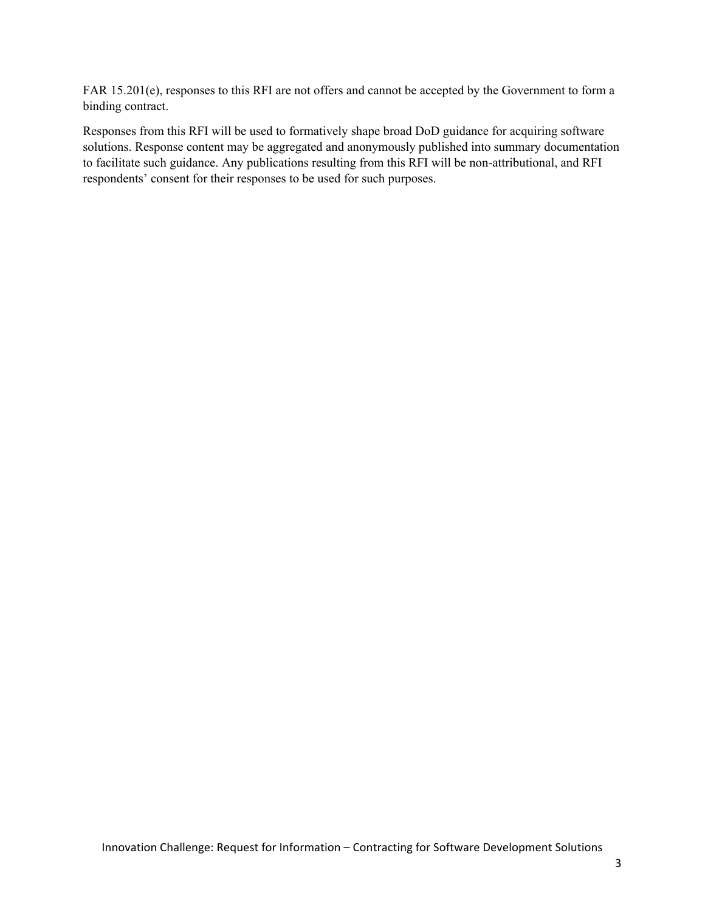FAR 15.201(e), responses to this RFI are not offers and cannot be accepted by the Government to form a binding contract.

Responses from this RFI will be used to formatively shape broad DoD guidance for acquiring software solutions. Response content may be aggregated and anonymously published into summary documentation to facilitate such guidance. Any publications resulting from this RFI will be non-attributional, and RFI respondents' consent for their responses to be used for such purposes.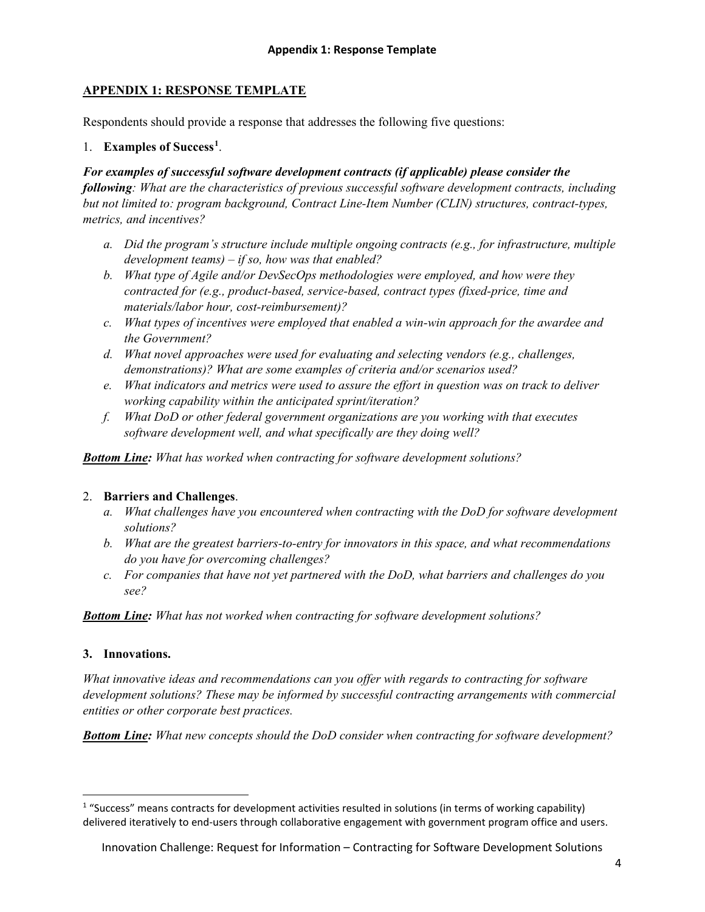# **APPENDIX 1: RESPONSE TEMPLATE**

Respondents should provide a response that addresses the following five questions:

# 1. **Examples of Success[1](#page-3-0)** .

### *For examples of successful software development contracts (if applicable) please consider the*

*following: What are the characteristics of previous successful software development contracts, including but not limited to: program background, Contract Line-Item Number (CLIN) structures, contract-types, metrics, and incentives?*

- *a. Did the program's structure include multiple ongoing contracts (e.g., for infrastructure, multiple development teams) – if so, how was that enabled?*
- *b. What type of Agile and/or DevSecOps methodologies were employed, and how were they contracted for (e.g., product-based, service-based, contract types (fixed-price, time and materials/labor hour, cost-reimbursement)?*
- *c. What types of incentives were employed that enabled a win-win approach for the awardee and the Government?*
- *d. What novel approaches were used for evaluating and selecting vendors (e.g., challenges, demonstrations)? What are some examples of criteria and/or scenarios used?*
- *e. What indicators and metrics were used to assure the effort in question was on track to deliver working capability within the anticipated sprint/iteration?*
- *f. What DoD or other federal government organizations are you working with that executes software development well, and what specifically are they doing well?*

*Bottom Line: What has worked when contracting for software development solutions?*

## 2. **Barriers and Challenges**.

- *a. What challenges have you encountered when contracting with the DoD for software development solutions?*
- *b. What are the greatest barriers-to-entry for innovators in this space, and what recommendations do you have for overcoming challenges?*
- *c. For companies that have not yet partnered with the DoD, what barriers and challenges do you see?*

*Bottom Line: What has not worked when contracting for software development solutions?*

## **3. Innovations.**

*What innovative ideas and recommendations can you offer with regards to contracting for software development solutions? These may be informed by successful contracting arrangements with commercial entities or other corporate best practices.* 

*Bottom Line: What new concepts should the DoD consider when contracting for software development?*

<span id="page-3-0"></span><sup>&</sup>lt;sup>1</sup> "Success" means contracts for development activities resulted in solutions (in terms of working capability) delivered iteratively to end-users through collaborative engagement with government program office and users.